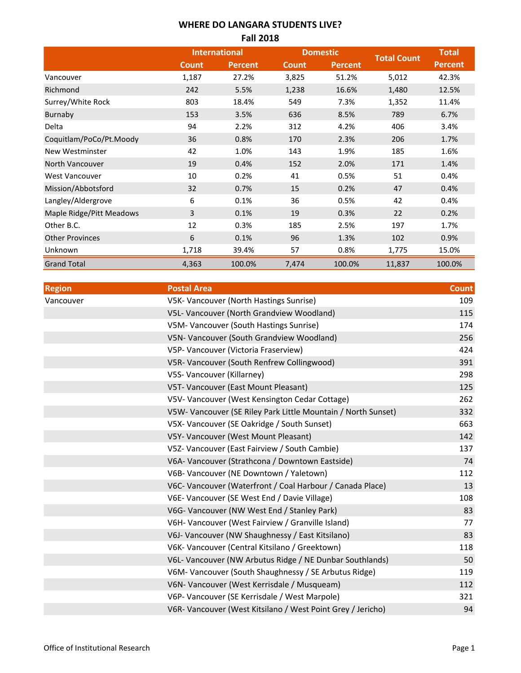## **WHERE DO LANGARA STUDENTS LIVE? Fall 2018**

|                          |              | <b>International</b> |              | <b>Domestic</b> |                    | <b>Total</b>   |
|--------------------------|--------------|----------------------|--------------|-----------------|--------------------|----------------|
|                          | <b>Count</b> | <b>Percent</b>       | <b>Count</b> | <b>Percent</b>  | <b>Total Count</b> | <b>Percent</b> |
| Vancouver                | 1,187        | 27.2%                | 3,825        | 51.2%           | 5,012              | 42.3%          |
| Richmond                 | 242          | 5.5%                 | 1,238        | 16.6%           | 1,480              | 12.5%          |
| Surrey/White Rock        | 803          | 18.4%                | 549          | 7.3%            | 1,352              | 11.4%          |
| Burnaby                  | 153          | 3.5%                 | 636          | 8.5%            | 789                | 6.7%           |
| Delta                    | 94           | 2.2%                 | 312          | 4.2%            | 406                | 3.4%           |
| Coquitlam/PoCo/Pt.Moody  | 36           | 0.8%                 | 170          | 2.3%            | 206                | 1.7%           |
| New Westminster          | 42           | 1.0%                 | 143          | 1.9%            | 185                | 1.6%           |
| North Vancouver          | 19           | 0.4%                 | 152          | 2.0%            | 171                | 1.4%           |
| West Vancouver           | 10           | 0.2%                 | 41           | 0.5%            | 51                 | 0.4%           |
| Mission/Abbotsford       | 32           | 0.7%                 | 15           | 0.2%            | 47                 | 0.4%           |
| Langley/Aldergrove       | 6            | 0.1%                 | 36           | 0.5%            | 42                 | 0.4%           |
| Maple Ridge/Pitt Meadows | 3            | 0.1%                 | 19           | 0.3%            | 22                 | 0.2%           |
| Other B.C.               | 12           | 0.3%                 | 185          | 2.5%            | 197                | 1.7%           |
| <b>Other Provinces</b>   | 6            | 0.1%                 | 96           | 1.3%            | 102                | 0.9%           |
| Unknown                  | 1,718        | 39.4%                | 57           | 0.8%            | 1,775              | 15.0%          |
| <b>Grand Total</b>       | 4,363        | 100.0%               | 7,474        | 100.0%          | 11,837             | 100.0%         |

| <b>Region</b> | <b>Postal Area</b>                                            | <b>Count</b> |
|---------------|---------------------------------------------------------------|--------------|
| Vancouver     | V5K- Vancouver (North Hastings Sunrise)                       | 109          |
|               | V5L- Vancouver (North Grandview Woodland)                     | 115          |
|               | V5M- Vancouver (South Hastings Sunrise)                       | 174          |
|               | V5N- Vancouver (South Grandview Woodland)                     | 256          |
|               | V5P- Vancouver (Victoria Fraserview)                          | 424          |
|               | V5R- Vancouver (South Renfrew Collingwood)                    | 391          |
|               | V5S- Vancouver (Killarney)                                    | 298          |
|               | V5T- Vancouver (East Mount Pleasant)                          | 125          |
|               | V5V- Vancouver (West Kensington Cedar Cottage)                | 262          |
|               | V5W- Vancouver (SE Riley Park Little Mountain / North Sunset) | 332          |
|               | V5X- Vancouver (SE Oakridge / South Sunset)                   | 663          |
|               | V5Y- Vancouver (West Mount Pleasant)                          | 142          |
|               | V5Z- Vancouver (East Fairview / South Cambie)                 | 137          |
|               | V6A- Vancouver (Strathcona / Downtown Eastside)               | 74           |
|               | V6B- Vancouver (NE Downtown / Yaletown)                       | 112          |
|               | V6C- Vancouver (Waterfront / Coal Harbour / Canada Place)     | 13           |
|               | V6E- Vancouver (SE West End / Davie Village)                  | 108          |
|               | V6G- Vancouver (NW West End / Stanley Park)                   | 83           |
|               | V6H- Vancouver (West Fairview / Granville Island)             | 77           |
|               | V6J- Vancouver (NW Shaughnessy / East Kitsilano)              | 83           |
|               | V6K- Vancouver (Central Kitsilano / Greektown)                | 118          |
|               | V6L- Vancouver (NW Arbutus Ridge / NE Dunbar Southlands)      | 50           |
|               | V6M- Vancouver (South Shaughnessy / SE Arbutus Ridge)         | 119          |
|               | V6N- Vancouver (West Kerrisdale / Musqueam)                   | 112          |
|               | V6P- Vancouver (SE Kerrisdale / West Marpole)                 | 321          |
|               | V6R- Vancouver (West Kitsilano / West Point Grey / Jericho)   | 94           |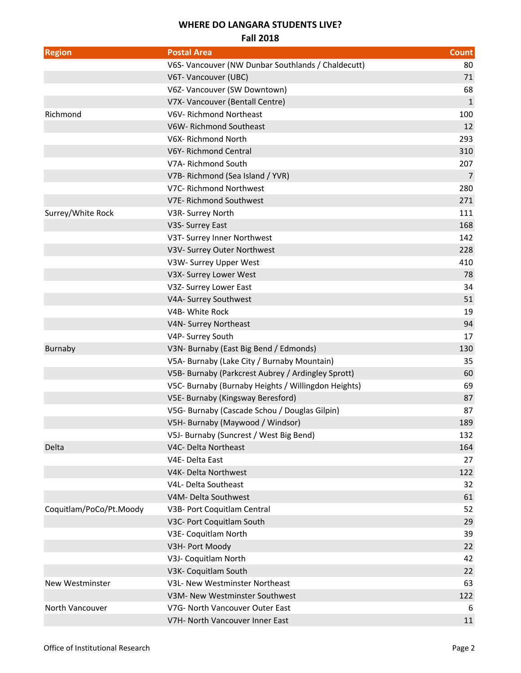## **WHERE DO LANGARA STUDENTS LIVE?**

### **Fall 2018**

| <b>Region</b>           | <b>Postal Area</b>                                  | <b>Count</b> |
|-------------------------|-----------------------------------------------------|--------------|
|                         | V6S- Vancouver (NW Dunbar Southlands / Chaldecutt)  | 80           |
|                         | V6T- Vancouver (UBC)                                | 71           |
|                         | V6Z- Vancouver (SW Downtown)                        | 68           |
|                         | V7X- Vancouver (Bentall Centre)                     | 1            |
| Richmond                | V6V-Richmond Northeast                              | 100          |
|                         | V6W-Richmond Southeast                              | 12           |
|                         | V6X-Richmond North                                  | 293          |
|                         | V6Y-Richmond Central                                | 310          |
|                         | V7A- Richmond South                                 | 207          |
|                         | V7B-Richmond (Sea Island / YVR)                     | 7            |
|                         | V7C- Richmond Northwest                             | 280          |
|                         | V7E- Richmond Southwest                             | 271          |
| Surrey/White Rock       | V3R- Surrey North                                   | 111          |
|                         | V3S- Surrey East                                    | 168          |
|                         | V3T- Surrey Inner Northwest                         | 142          |
|                         | V3V- Surrey Outer Northwest                         | 228          |
|                         | V3W- Surrey Upper West                              | 410          |
|                         | V3X- Surrey Lower West                              | 78           |
|                         | V3Z- Surrey Lower East                              | 34           |
|                         | V4A- Surrey Southwest                               | 51           |
|                         | V4B- White Rock                                     | 19           |
|                         | V4N- Surrey Northeast                               | 94           |
|                         | V4P- Surrey South                                   | 17           |
| Burnaby                 | V3N- Burnaby (East Big Bend / Edmonds)              | 130          |
|                         | V5A- Burnaby (Lake City / Burnaby Mountain)         | 35           |
|                         | V5B- Burnaby (Parkcrest Aubrey / Ardingley Sprott)  | 60           |
|                         | V5C- Burnaby (Burnaby Heights / Willingdon Heights) | 69           |
|                         | V5E- Burnaby (Kingsway Beresford)                   | 87           |
|                         | V5G- Burnaby (Cascade Schou / Douglas Gilpin)       | 87           |
|                         | V5H- Burnaby (Maywood / Windsor)                    | 189          |
|                         | V5J- Burnaby (Suncrest / West Big Bend)             | 132          |
| Delta                   | V4C- Delta Northeast                                | 164          |
|                         | V4E-Delta East                                      | 27           |
|                         | V4K- Delta Northwest                                | 122          |
|                         | V4L- Delta Southeast                                | 32           |
|                         | V4M- Delta Southwest                                | 61           |
| Coquitlam/PoCo/Pt.Moody | V3B- Port Coquitlam Central                         | 52           |
|                         | V3C- Port Coquitlam South                           | 29           |
|                         | V3E- Coquitlam North                                | 39           |
|                         | V3H- Port Moody                                     | 22           |
|                         | V3J- Coquitlam North                                | 42           |
|                         | V3K- Coquitlam South                                | 22           |
| New Westminster         | V3L- New Westminster Northeast                      | 63           |
|                         | V3M- New Westminster Southwest                      | 122          |
| North Vancouver         | V7G- North Vancouver Outer East                     | 6            |
|                         | V7H- North Vancouver Inner East                     | 11           |